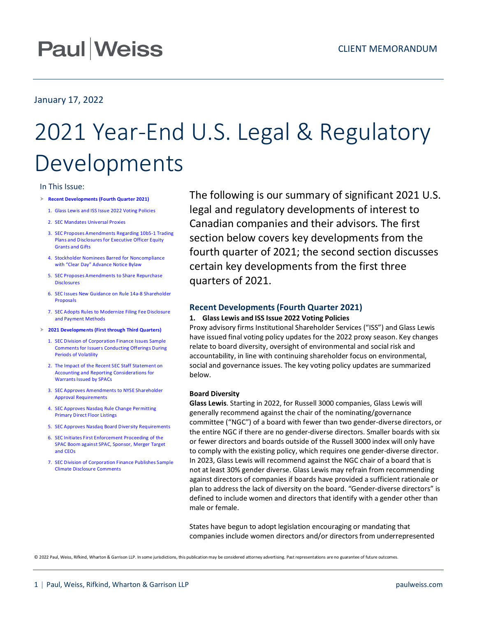## **Paul Weiss**

## January 17, 2022

# 2021 Year-End U.S. Legal & Regulatory Developments

## In This Issue:

- **[Recent Developments \(Fourth Quarter 2021\)](#page-0-0)**
	- 1. [Glass Lewis and ISS Issue 2022 Voting Policies](#page-0-1)
	- 2. SEC Mandates [Universal Proxies](#page-2-0)
	- 3. [SEC Proposes Amendments Regarding 10b5-1 Trading](#page-4-0)  [Plans and Disclosures for Executive Officer Equity](#page-4-0)  [Grants and Gifts](#page-4-0)
	- 4. [Stockholder Nominees Barred for Noncompliance](#page-5-0)  [with "Clear Day" Advance Notice Bylaw](#page-5-0)
	- 5. [SEC Proposes Amendments to Share Repurchase](#page-6-0)  [Disclosures](#page-6-0)
	- 6. [SEC Issues New Guidance on Rule 14a-8 Shareholder](#page-6-1)  [Proposals](#page-6-1)
	- 7. [SEC Adopts Rules to Modernize Filing Fee Disclosure](#page-7-0)  [and Payment Methods](#page-7-0)
- **[2021 Developments \(First through Third Quarters\)](#page-8-0)**
	- 1. [SEC Division of Corporation Finance Issues Sample](#page-8-1)  [Comments for Issuers Conducting Offerings During](#page-8-1)  [Periods of Volatility](#page-8-1)
	- 2. [The Impact of the Recent SEC Staff Statement on](#page-9-0)  [Accounting and Reporting Considerations for](#page-9-0)  [Warrants Issued by SPACs](#page-9-0)
	- 3. [SEC Approves Amendments to NYSE Shareholder](#page-9-1)  [Approval Requirements](#page-9-1)
	- 4. [SEC Approves Nasdaq Rule Change Permitting](#page-10-0)  [Primary Direct Floor Listings](#page-10-0)
	- 5. [SEC Approves Nasdaq Board Diversity Requirements](#page-11-0)
	- 6. [SEC Initiates First Enforcement Proceeding of the](#page-12-0)  [SPAC Boom against SPAC, Sponsor, Merger Target](#page-12-0)  [and CEOs](#page-12-0)
	- 7. [SEC Division of Corporation Finance Publishes Sample](#page-13-0)  [Climate Disclosure Comments](#page-13-0)

The following is our summary of significant 2021 U.S. legal and regulatory developments of interest to Canadian companies and their advisors. The first section below covers key developments from the fourth quarter of 2021; the second section discusses certain key developments from the first three quarters of 2021.

## <span id="page-0-0"></span>**Recent Developments (Fourth Quarter 2021)**

## <span id="page-0-1"></span>**1. Glass Lewis and ISS Issue 2022 Voting Policies**

Proxy advisory firms Institutional Shareholder Services ("ISS") and Glass Lewis have issued final voting policy updates for the 2022 proxy season. Key changes relate to board diversity, oversight of environmental and social risk and accountability, in line with continuing shareholder focus on environmental, social and governance issues. The key voting policy updates are summarized below.

## **Board Diversity**

**Glass Lewis**. Starting in 2022, for Russell 3000 companies, Glass Lewis will generally recommend against the chair of the nominating/governance committee ("NGC") of a board with fewer than two gender-diverse directors, or the entire NGC if there are no gender-diverse directors. Smaller boards with six or fewer directors and boards outside of the Russell 3000 index will only have to comply with the existing policy, which requires one gender-diverse director. In 2023, Glass Lewis will recommend against the NGC chair of a board that is not at least 30% gender diverse. Glass Lewis may refrain from recommending against directors of companies if boards have provided a sufficient rationale or plan to address the lack of diversity on the board. "Gender-diverse directors" is defined to include women and directors that identify with a gender other than male or female.

States have begun to adopt legislation encouraging or mandating that companies include women directors and/or directors from underrepresented

© 2022 Paul, Weiss, Rifkind, Wharton & Garrison LLP. In some jurisdictions, this publication may be considered attorney advertising. Past representations are no guarantee of future outcomes.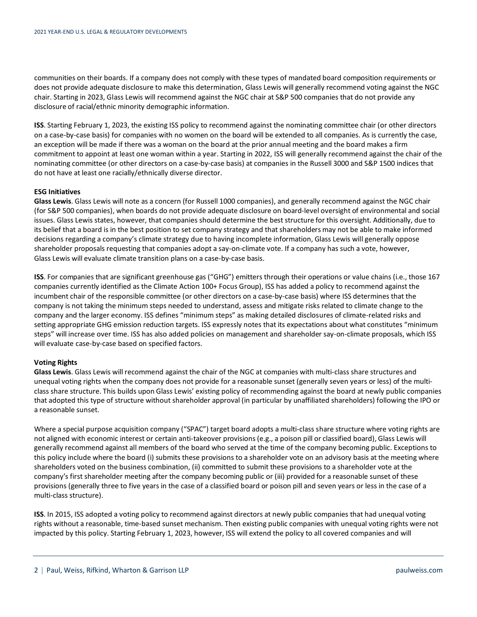communities on their boards. If a company does not comply with these types of mandated board composition requirements or does not provide adequate disclosure to make this determination, Glass Lewis will generally recommend voting against the NGC chair. Starting in 2023, Glass Lewis will recommend against the NGC chair at S&P 500 companies that do not provide any disclosure of racial/ethnic minority demographic information.

**ISS**. Starting February 1, 2023, the existing ISS policy to recommend against the nominating committee chair (or other directors on a case-by-case basis) for companies with no women on the board will be extended to all companies. As is currently the case, an exception will be made if there was a woman on the board at the prior annual meeting and the board makes a firm commitment to appoint at least one woman within a year. Starting in 2022, ISS will generally recommend against the chair of the nominating committee (or other directors on a case-by-case basis) at companies in the Russell 3000 and S&P 1500 indices that do not have at least one racially/ethnically diverse director.

## **ESG Initiatives**

**Glass Lewis**. Glass Lewis will note as a concern (for Russell 1000 companies), and generally recommend against the NGC chair (for S&P 500 companies), when boards do not provide adequate disclosure on board-level oversight of environmental and social issues. Glass Lewis states, however, that companies should determine the best structure for this oversight. Additionally, due to its belief that a board is in the best position to set company strategy and that shareholders may not be able to make informed decisions regarding a company's climate strategy due to having incomplete information, Glass Lewis will generally oppose shareholder proposals requesting that companies adopt a say-on-climate vote. If a company has such a vote, however, Glass Lewis will evaluate climate transition plans on a case-by-case basis.

**ISS**. For companies that are significant greenhouse gas ("GHG") emitters through their operations or value chains (i.e., those 167 companies currently identified as the Climate Action 100+ Focus Group), ISS has added a policy to recommend against the incumbent chair of the responsible committee (or other directors on a case-by-case basis) where ISS determines that the company is not taking the minimum steps needed to understand, assess and mitigate risks related to climate change to the company and the larger economy. ISS defines "minimum steps" as making detailed disclosures of climate-related risks and setting appropriate GHG emission reduction targets. ISS expressly notes that its expectations about what constitutes "minimum steps" will increase over time. ISS has also added policies on management and shareholder say-on-climate proposals, which ISS will evaluate case-by-case based on specified factors.

## **Voting Rights**

**Glass Lewis**. Glass Lewis will recommend against the chair of the NGC at companies with multi-class share structures and unequal voting rights when the company does not provide for a reasonable sunset (generally seven years or less) of the multiclass share structure. This builds upon Glass Lewis' existing policy of recommending against the board at newly public companies that adopted this type of structure without shareholder approval (in particular by unaffiliated shareholders) following the IPO or a reasonable sunset.

Where a special purpose acquisition company ("SPAC") target board adopts a multi-class share structure where voting rights are not aligned with economic interest or certain anti-takeover provisions (e.g., a poison pill or classified board), Glass Lewis will generally recommend against all members of the board who served at the time of the company becoming public. Exceptions to this policy include where the board (i) submits these provisions to a shareholder vote on an advisory basis at the meeting where shareholders voted on the business combination, (ii) committed to submit these provisions to a shareholder vote at the company's first shareholder meeting after the company becoming public or (iii) provided for a reasonable sunset of these provisions (generally three to five years in the case of a classified board or poison pill and seven years or less in the case of a multi-class structure).

**ISS**. In 2015, ISS adopted a voting policy to recommend against directors at newly public companies that had unequal voting rights without a reasonable, time-based sunset mechanism. Then existing public companies with unequal voting rights were not impacted by this policy. Starting February 1, 2023, however, ISS will extend the policy to all covered companies and will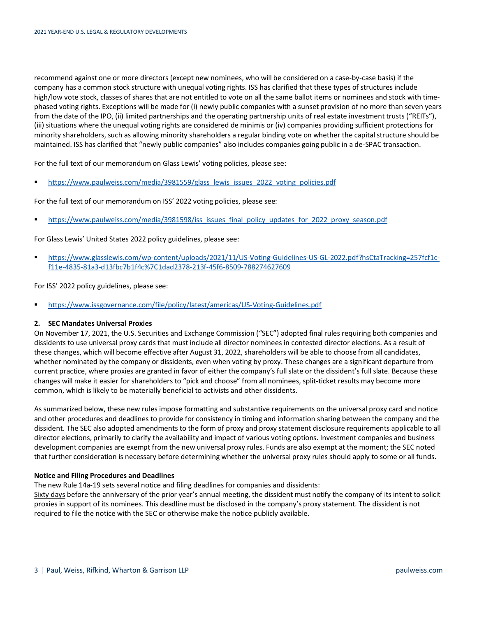recommend against one or more directors (except new nominees, who will be considered on a case-by-case basis) if the company has a common stock structure with unequal voting rights. ISS has clarified that these types of structures include high/low vote stock, classes of shares that are not entitled to vote on all the same ballot items or nominees and stock with timephased voting rights. Exceptions will be made for (i) newly public companies with a sunset provision of no more than seven years from the date of the IPO, (ii) limited partnerships and the operating partnership units of real estate investment trusts ("REITs"), (iii) situations where the unequal voting rights are considered de minimis or (iv) companies providing sufficient protections for minority shareholders, such as allowing minority shareholders a regular binding vote on whether the capital structure should be maintained. ISS has clarified that "newly public companies" also includes companies going public in a de-SPAC transaction.

For the full text of our memorandum on Glass Lewis' voting policies, please see:

**[https://www.paulweiss.com/media/3981559/glass\\_lewis\\_issues\\_2022\\_voting\\_policies.pdf](https://www.paulweiss.com/media/3981559/glass_lewis_issues_2022_voting_policies.pdf)** 

For the full text of our memorandum on ISS' 2022 voting policies, please see:

[https://www.paulweiss.com/media/3981598/iss\\_issues\\_final\\_policy\\_updates\\_for\\_2022\\_proxy\\_season.pdf](https://www.paulweiss.com/media/3981598/iss_issues_final_policy_updates_for_2022_proxy_season.pdf)

For Glass Lewis' United States 2022 policy guidelines, please see:

 [https://www.glasslewis.com/wp-content/uploads/2021/11/US-Voting-Guidelines-US-GL-2022.pdf?hsCtaTracking=257fcf1c](https://www.glasslewis.com/wp-content/uploads/2021/11/US-Voting-Guidelines-US-GL-2022.pdf?hsCtaTracking=257fcf1c-f11e-4835-81a3-d13fbc7b1f4c%7C1dad2378-213f-45f6-8509-788274627609)[f11e-4835-81a3-d13fbc7b1f4c%7C1dad2378-213f-45f6-8509-788274627609](https://www.glasslewis.com/wp-content/uploads/2021/11/US-Voting-Guidelines-US-GL-2022.pdf?hsCtaTracking=257fcf1c-f11e-4835-81a3-d13fbc7b1f4c%7C1dad2378-213f-45f6-8509-788274627609)

For ISS' 2022 policy guidelines, please see:

<https://www.issgovernance.com/file/policy/latest/americas/US-Voting-Guidelines.pdf>

## <span id="page-2-0"></span>**2. SEC Mandates Universal Proxies**

On November 17, 2021, the U.S. Securities and Exchange Commission ("SEC") adopted final rules requiring both companies and dissidents to use universal proxy cards that must include all director nominees in contested director elections. As a result of these changes, which will become effective after August 31, 2022, shareholders will be able to choose from all candidates, whether nominated by the company or dissidents, even when voting by proxy. These changes are a significant departure from current practice, where proxies are granted in favor of either the company's full slate or the dissident's full slate. Because these changes will make it easier for shareholders to "pick and choose" from all nominees, split-ticket results may become more common, which is likely to be materially beneficial to activists and other dissidents.

As summarized below, these new rules impose formatting and substantive requirements on the universal proxy card and notice and other procedures and deadlines to provide for consistency in timing and information sharing between the company and the dissident. The SEC also adopted amendments to the form of proxy and proxy statement disclosure requirements applicable to all director elections, primarily to clarify the availability and impact of various voting options. Investment companies and business development companies are exempt from the new universal proxy rules. Funds are also exempt at the moment; the SEC noted that further consideration is necessary before determining whether the universal proxy rules should apply to some or all funds.

## **Notice and Filing Procedures and Deadlines**

The new Rule 14a-19 sets several notice and filing deadlines for companies and dissidents:

Sixty days before the anniversary of the prior year's annual meeting, the dissident must notify the company of its intent to solicit proxies in support of its nominees. This deadline must be disclosed in the company's proxy statement. The dissident is not required to file the notice with the SEC or otherwise make the notice publicly available.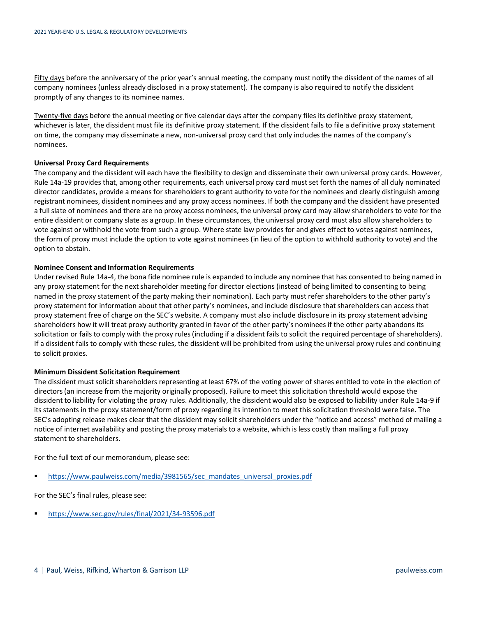Fifty days before the anniversary of the prior year's annual meeting, the company must notify the dissident of the names of all company nominees (unless already disclosed in a proxy statement). The company is also required to notify the dissident promptly of any changes to its nominee names.

Twenty-five days before the annual meeting or five calendar days after the company files its definitive proxy statement, whichever is later, the dissident must file its definitive proxy statement. If the dissident fails to file a definitive proxy statement on time, the company may disseminate a new, non-universal proxy card that only includes the names of the company's nominees.

## **Universal Proxy Card Requirements**

The company and the dissident will each have the flexibility to design and disseminate their own universal proxy cards. However, Rule 14a-19 provides that, among other requirements, each universal proxy card must set forth the names of all duly nominated director candidates, provide a means for shareholders to grant authority to vote for the nominees and clearly distinguish among registrant nominees, dissident nominees and any proxy access nominees. If both the company and the dissident have presented a full slate of nominees and there are no proxy access nominees, the universal proxy card may allow shareholders to vote for the entire dissident or company slate as a group. In these circumstances, the universal proxy card must also allow shareholders to vote against or withhold the vote from such a group. Where state law provides for and gives effect to votes against nominees, the form of proxy must include the option to vote against nominees (in lieu of the option to withhold authority to vote) and the option to abstain.

#### **Nominee Consent and Information Requirements**

Under revised Rule 14a-4, the bona fide nominee rule is expanded to include any nominee that has consented to being named in any proxy statement for the next shareholder meeting for director elections (instead of being limited to consenting to being named in the proxy statement of the party making their nomination). Each party must refer shareholders to the other party's proxy statement for information about that other party's nominees, and include disclosure that shareholders can access that proxy statement free of charge on the SEC's website. A company must also include disclosure in its proxy statement advising shareholders how it will treat proxy authority granted in favor of the other party's nominees if the other party abandons its solicitation or fails to comply with the proxy rules (including if a dissident fails to solicit the required percentage of shareholders). If a dissident fails to comply with these rules, the dissident will be prohibited from using the universal proxy rules and continuing to solicit proxies.

#### **Minimum Dissident Solicitation Requirement**

The dissident must solicit shareholders representing at least 67% of the voting power of shares entitled to vote in the election of directors (an increase from the majority originally proposed). Failure to meet this solicitation threshold would expose the dissident to liability for violating the proxy rules. Additionally, the dissident would also be exposed to liability under Rule 14a-9 if its statements in the proxy statement/form of proxy regarding its intention to meet this solicitation threshold were false. The SEC's adopting release makes clear that the dissident may solicit shareholders under the "notice and access" method of mailing a notice of internet availability and posting the proxy materials to a website, which is less costly than mailing a full proxy statement to shareholders.

For the full text of our memorandum, please see:

[https://www.paulweiss.com/media/3981565/sec\\_mandates\\_universal\\_proxies.pdf](https://www.paulweiss.com/media/3981565/sec_mandates_universal_proxies.pdf)

For the SEC's final rules, please see:

<https://www.sec.gov/rules/final/2021/34-93596.pdf>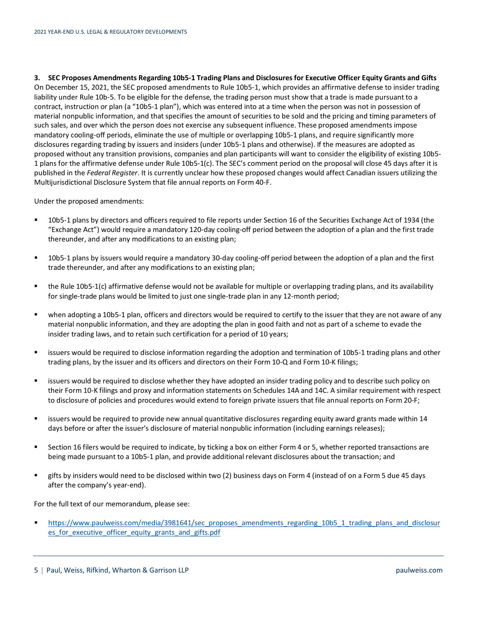<span id="page-4-0"></span>**3. SEC Proposes Amendments Regarding 10b5-1 Trading Plans and Disclosures for Executive Officer Equity Grants and Gifts** On December 15, 2021, the SEC proposed amendments to Rule 10b5-1, which provides an affirmative defense to insider trading liability under Rule 10b-5. To be eligible for the defense, the trading person must show that a trade is made pursuant to a contract, instruction or plan (a "10b5-1 plan"), which was entered into at a time when the person was not in possession of material nonpublic information, and that specifies the amount of securities to be sold and the pricing and timing parameters of such sales, and over which the person does not exercise any subsequent influence. These proposed amendments impose mandatory cooling-off periods, eliminate the use of multiple or overlapping 10b5-1 plans, and require significantly more disclosures regarding trading by issuers and insiders (under 10b5-1 plans and otherwise). If the measures are adopted as proposed without any transition provisions, companies and plan participants will want to consider the eligibility of existing 10b5- 1 plans for the affirmative defense under Rule 10b5-1(c). The SEC's comment period on the proposal will close 45 days after it is published in the *Federal Register*. It is currently unclear how these proposed changes would affect Canadian issuers utilizing the Multijurisdictional Disclosure System that file annual reports on Form 40-F.

Under the proposed amendments:

- 10b5-1 plans by directors and officers required to file reports under Section 16 of the Securities Exchange Act of 1934 (the "Exchange Act") would require a mandatory 120-day cooling-off period between the adoption of a plan and the first trade thereunder, and after any modifications to an existing plan;
- 10b5-1 plans by issuers would require a mandatory 30-day cooling-off period between the adoption of a plan and the first trade thereunder, and after any modifications to an existing plan;
- the Rule 10b5-1(c) affirmative defense would not be available for multiple or overlapping trading plans, and its availability for single-trade plans would be limited to just one single-trade plan in any 12-month period;
- when adopting a 10b5-1 plan, officers and directors would be required to certify to the issuer that they are not aware of any material nonpublic information, and they are adopting the plan in good faith and not as part of a scheme to evade the insider trading laws, and to retain such certification for a period of 10 years;
- issuers would be required to disclose information regarding the adoption and termination of 10b5-1 trading plans and other trading plans, by the issuer and its officers and directors on their Form 10-Q and Form 10-K filings;
- issuers would be required to disclose whether they have adopted an insider trading policy and to describe such policy on their Form 10-K filings and proxy and information statements on Schedules 14A and 14C. A similar requirement with respect to disclosure of policies and procedures would extend to foreign private issuers that file annual reports on Form 20-F;
- issuers would be required to provide new annual quantitative disclosures regarding equity award grants made within 14 days before or after the issuer's disclosure of material nonpublic information (including earnings releases);
- Section 16 filers would be required to indicate, by ticking a box on either Form 4 or 5, whether reported transactions are being made pursuant to a 10b5-1 plan, and provide additional relevant disclosures about the transaction; and
- gifts by insiders would need to be disclosed within two (2) business days on Form 4 (instead of on a Form 5 due 45 days after the company's year-end).

For the full text of our memorandum, please see:

**[https://www.paulweiss.com/media/3981641/sec\\_proposes\\_amendments\\_regarding\\_10b5\\_1\\_trading\\_plans\\_and\\_disclosur](https://www.paulweiss.com/media/3981641/sec_proposes_amendments_regarding_10b5_1_trading_plans_and_disclosures_for_executive_officer_equity_grants_and_gifts.pdf)\_** es for executive officer equity grants and gifts.pdf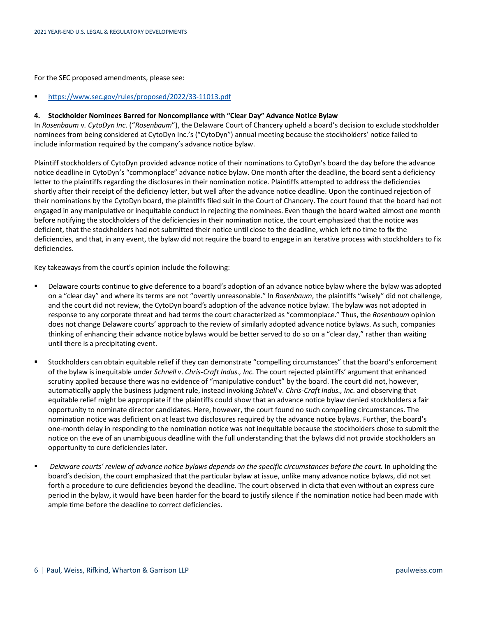For the SEC proposed amendments, please see:

<https://www.sec.gov/rules/proposed/2022/33-11013.pdf>

## <span id="page-5-0"></span>**4. Stockholder Nominees Barred for Noncompliance with "Clear Day" Advance Notice Bylaw**

In *Rosenbaum* v*. CytoDyn Inc*. ("*Rosenbaum*"), the Delaware Court of Chancery upheld a board's decision to exclude stockholder nominees from being considered at CytoDyn Inc.'s ("CytoDyn") annual meeting because the stockholders' notice failed to include information required by the company's advance notice bylaw.

Plaintiff stockholders of CytoDyn provided advance notice of their nominations to CytoDyn's board the day before the advance notice deadline in CytoDyn's "commonplace" advance notice bylaw. One month after the deadline, the board sent a deficiency letter to the plaintiffs regarding the disclosures in their nomination notice. Plaintiffs attempted to address the deficiencies shortly after their receipt of the deficiency letter, but well after the advance notice deadline. Upon the continued rejection of their nominations by the CytoDyn board, the plaintiffs filed suit in the Court of Chancery. The court found that the board had not engaged in any manipulative or inequitable conduct in rejecting the nominees. Even though the board waited almost one month before notifying the stockholders of the deficiencies in their nomination notice, the court emphasized that the notice was deficient, that the stockholders had not submitted their notice until close to the deadline, which left no time to fix the deficiencies, and that, in any event, the bylaw did not require the board to engage in an iterative process with stockholders to fix deficiencies.

Key takeaways from the court's opinion include the following:

- Delaware courts continue to give deference to a board's adoption of an advance notice bylaw where the bylaw was adopted on a "clear day" and where its terms are not "overtly unreasonable." In *Rosenbaum*, the plaintiffs "wisely" did not challenge, and the court did not review, the CytoDyn board's adoption of the advance notice bylaw. The bylaw was not adopted in response to any corporate threat and had terms the court characterized as "commonplace." Thus, the *Rosenbaum* opinion does not change Delaware courts' approach to the review of similarly adopted advance notice bylaws. As such, companies thinking of enhancing their advance notice bylaws would be better served to do so on a "clear day," rather than waiting until there is a precipitating event.
- Stockholders can obtain equitable relief if they can demonstrate "compelling circumstances" that the board's enforcement of the bylaw is inequitable under *Schnell* v. *Chris-Craft Indus., Inc.* The court rejected plaintiffs' argument that enhanced scrutiny applied because there was no evidence of "manipulative conduct" by the board. The court did not, however, automatically apply the business judgment rule, instead invoking *Schnell* v. *Chris-Craft Indus., Inc.* and observing that equitable relief might be appropriate if the plaintiffs could show that an advance notice bylaw denied stockholders a fair opportunity to nominate director candidates. Here, however, the court found no such compelling circumstances. The nomination notice was deficient on at least two disclosures required by the advance notice bylaws. Further, the board's one-month delay in responding to the nomination notice was not inequitable because the stockholders chose to submit the notice on the eve of an unambiguous deadline with the full understanding that the bylaws did not provide stockholders an opportunity to cure deficiencies later.
- *Delaware courts' review of advance notice bylaws depends on the specific circumstances before the court.* In upholding the board's decision, the court emphasized that the particular bylaw at issue, unlike many advance notice bylaws, did not set forth a procedure to cure deficiencies beyond the deadline. The court observed in dicta that even without an express cure period in the bylaw, it would have been harder for the board to justify silence if the nomination notice had been made with ample time before the deadline to correct deficiencies.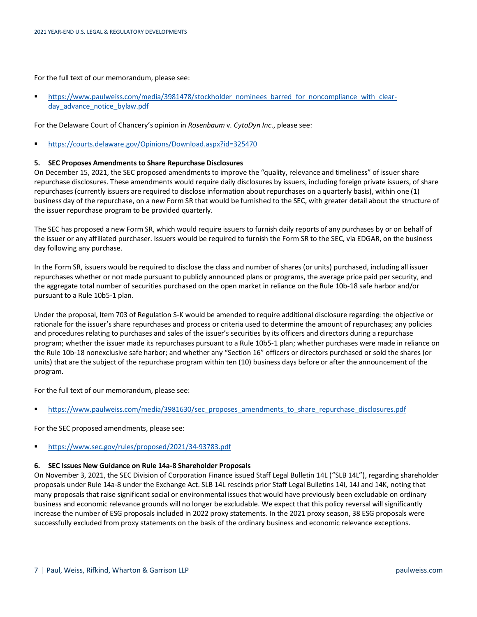For the full text of our memorandum, please see:

[https://www.paulweiss.com/media/3981478/stockholder\\_nominees\\_barred\\_for\\_noncompliance\\_with\\_clear](https://www.paulweiss.com/media/3981478/stockholder_nominees_barred_for_noncompliance_with_clear-day_advance_notice_bylaw.pdf)[day\\_advance\\_notice\\_bylaw.pdf](https://www.paulweiss.com/media/3981478/stockholder_nominees_barred_for_noncompliance_with_clear-day_advance_notice_bylaw.pdf)

For the Delaware Court of Chancery's opinion in *Rosenbaum* v*. CytoDyn Inc*., please see:

<https://courts.delaware.gov/Opinions/Download.aspx?id=325470>

## <span id="page-6-0"></span>**5. SEC Proposes Amendments to Share Repurchase Disclosures**

On December 15, 2021, the SEC proposed amendments to improve the "quality, relevance and timeliness" of issuer share repurchase disclosures. These amendments would require daily disclosures by issuers, including foreign private issuers, of share repurchases(currently issuers are required to disclose information about repurchases on a quarterly basis), within one (1) business day of the repurchase, on a new Form SR that would be furnished to the SEC, with greater detail about the structure of the issuer repurchase program to be provided quarterly.

The SEC has proposed a new Form SR, which would require issuers to furnish daily reports of any purchases by or on behalf of the issuer or any affiliated purchaser. Issuers would be required to furnish the Form SR to the SEC, via EDGAR, on the business day following any purchase.

In the Form SR, issuers would be required to disclose the class and number of shares (or units) purchased, including all issuer repurchases whether or not made pursuant to publicly announced plans or programs, the average price paid per security, and the aggregate total number of securities purchased on the open market in reliance on the Rule 10b-18 safe harbor and/or pursuant to a Rule 10b5-1 plan.

Under the proposal, Item 703 of Regulation S-K would be amended to require additional disclosure regarding: the objective or rationale for the issuer's share repurchases and process or criteria used to determine the amount of repurchases; any policies and procedures relating to purchases and sales of the issuer's securities by its officers and directors during a repurchase program; whether the issuer made its repurchases pursuant to a Rule 10b5-1 plan; whether purchases were made in reliance on the Rule 10b-18 nonexclusive safe harbor; and whether any "Section 16" officers or directors purchased or sold the shares (or units) that are the subject of the repurchase program within ten (10) business days before or after the announcement of the program.

For the full text of our memorandum, please see:

[https://www.paulweiss.com/media/3981630/sec\\_proposes\\_amendments\\_to\\_share\\_repurchase\\_disclosures.pdf](https://www.paulweiss.com/media/3981630/sec_proposes_amendments_to_share_repurchase_disclosures.pdf)

For the SEC proposed amendments, please see:

<https://www.sec.gov/rules/proposed/2021/34-93783.pdf>

## <span id="page-6-1"></span>**6. SEC Issues New Guidance on Rule 14a-8 Shareholder Proposals**

On November 3, 2021, the SEC Division of Corporation Finance issued Staff Legal Bulletin 14L ("SLB 14L"), regarding shareholder proposals under Rule 14a-8 under the Exchange Act. SLB 14L rescinds prior Staff Legal Bulletins 14I, 14J and 14K, noting that many proposals that raise significant social or environmental issues that would have previously been excludable on ordinary business and economic relevance grounds will no longer be excludable. We expect that this policy reversal will significantly increase the number of ESG proposals included in 2022 proxy statements. In the 2021 proxy season, 38 ESG proposals were successfully excluded from proxy statements on the basis of the ordinary business and economic relevance exceptions.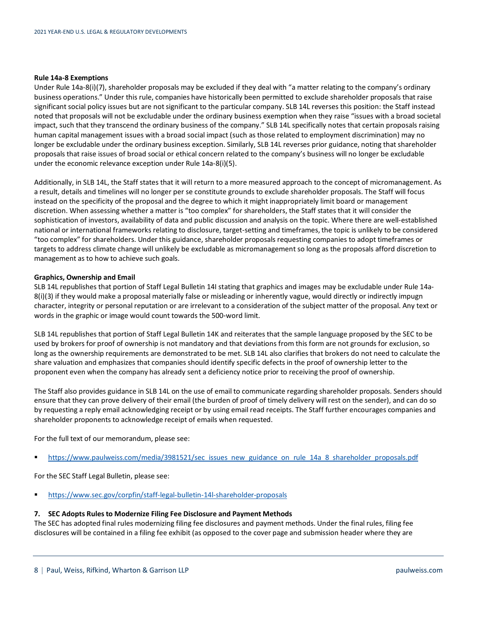#### **Rule 14a-8 Exemptions**

Under Rule 14a-8(i)(7), shareholder proposals may be excluded if they deal with "a matter relating to the company's ordinary business operations." Under this rule, companies have historically been permitted to exclude shareholder proposals that raise significant social policy issues but are not significant to the particular company. SLB 14L reverses this position: the Staff instead noted that proposals will not be excludable under the ordinary business exemption when they raise "issues with a broad societal impact, such that they transcend the ordinary business of the company." SLB 14L specifically notes that certain proposals raising human capital management issues with a broad social impact (such as those related to employment discrimination) may no longer be excludable under the ordinary business exception. Similarly, SLB 14L reverses prior guidance, noting that shareholder proposals that raise issues of broad social or ethical concern related to the company's business will no longer be excludable under the economic relevance exception under Rule 14a-8(i)(5).

Additionally, in SLB 14L, the Staff states that it will return to a more measured approach to the concept of micromanagement. As a result, details and timelines will no longer per se constitute grounds to exclude shareholder proposals. The Staff will focus instead on the specificity of the proposal and the degree to which it might inappropriately limit board or management discretion. When assessing whether a matter is "too complex" for shareholders, the Staff states that it will consider the sophistication of investors, availability of data and public discussion and analysis on the topic. Where there are well-established national or international frameworks relating to disclosure, target-setting and timeframes, the topic is unlikely to be considered "too complex" for shareholders. Under this guidance, shareholder proposals requesting companies to adopt timeframes or targets to address climate change will unlikely be excludable as micromanagement so long as the proposals afford discretion to management as to how to achieve such goals.

#### **Graphics, Ownership and Email**

SLB 14L republishes that portion of Staff Legal Bulletin 14I stating that graphics and images may be excludable under Rule 14a-8(i)(3) if they would make a proposal materially false or misleading or inherently vague, would directly or indirectly impugn character, integrity or personal reputation or are irrelevant to a consideration of the subject matter of the proposal. Any text or words in the graphic or image would count towards the 500‑word limit.

SLB 14L republishes that portion of Staff Legal Bulletin 14K and reiterates that the sample language proposed by the SEC to be used by brokers for proof of ownership is not mandatory and that deviations from this form are not grounds for exclusion, so long as the ownership requirements are demonstrated to be met. SLB 14L also clarifies that brokers do not need to calculate the share valuation and emphasizes that companies should identify specific defects in the proof of ownership letter to the proponent even when the company has already sent a deficiency notice prior to receiving the proof of ownership.

The Staff also provides guidance in SLB 14L on the use of email to communicate regarding shareholder proposals. Senders should ensure that they can prove delivery of their email (the burden of proof of timely delivery will rest on the sender), and can do so by requesting a reply email acknowledging receipt or by using email read receipts. The Staff further encourages companies and shareholder proponents to acknowledge receipt of emails when requested.

For the full text of our memorandum, please see:

[https://www.paulweiss.com/media/3981521/sec\\_issues\\_new\\_guidance\\_on\\_rule\\_14a\\_8\\_shareholder\\_proposals.pdf](https://www.paulweiss.com/media/3981521/sec_issues_new_guidance_on_rule_14a_8_shareholder_proposals.pdf)

For the SEC Staff Legal Bulletin, please see:

<https://www.sec.gov/corpfin/staff-legal-bulletin-14l-shareholder-proposals>

#### <span id="page-7-0"></span>**7. SEC Adopts Rules to Modernize Filing Fee Disclosure and Payment Methods**

The SEC has adopted final rules modernizing filing fee disclosures and payment methods. Under the final rules, filing fee disclosures will be contained in a filing fee exhibit (as opposed to the cover page and submission header where they are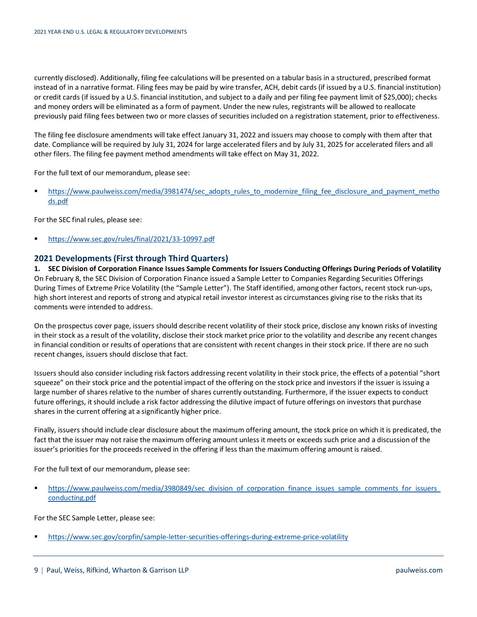currently disclosed). Additionally, filing fee calculations will be presented on a tabular basis in a structured, prescribed format instead of in a narrative format. Filing fees may be paid by wire transfer, ACH, debit cards (if issued by a U.S. financial institution) or credit cards (if issued by a U.S. financial institution, and subject to a daily and per filing fee payment limit of \$25,000); checks and money orders will be eliminated as a form of payment. Under the new rules, registrants will be allowed to reallocate previously paid filing fees between two or more classes of securities included on a registration statement, prior to effectiveness.

The filing fee disclosure amendments will take effect January 31, 2022 and issuers may choose to comply with them after that date. Compliance will be required by July 31, 2024 for large accelerated filers and by July 31, 2025 for accelerated filers and all other filers. The filing fee payment method amendments will take effect on May 31, 2022.

For the full text of our memorandum, please see:

[https://www.paulweiss.com/media/3981474/sec\\_adopts\\_rules\\_to\\_modernize\\_filing\\_fee\\_disclosure\\_and\\_payment\\_metho](https://www.paulweiss.com/media/3981474/sec_adopts_rules_to_modernize_filing_fee_disclosure_and_payment_methods.pdf) [ds.pdf](https://www.paulweiss.com/media/3981474/sec_adopts_rules_to_modernize_filing_fee_disclosure_and_payment_methods.pdf)

For the SEC final rules, please see:

<https://www.sec.gov/rules/final/2021/33-10997.pdf>

## <span id="page-8-0"></span>**2021 Developments (First through Third Quarters)**

<span id="page-8-1"></span>**1. SEC Division of Corporation Finance Issues Sample Comments for Issuers Conducting Offerings During Periods of Volatility** On February 8, the SEC Division of Corporation Finance issued a Sample Letter to Companies Regarding Securities Offerings During Times of Extreme Price Volatility (the "Sample Letter"). The Staff identified, among other factors, recent stock run-ups, high short interest and reports of strong and atypical retail investor interest as circumstances giving rise to the risks that its comments were intended to address.

On the prospectus cover page, issuers should describe recent volatility of their stock price, disclose any known risks of investing in their stock as a result of the volatility, disclose their stock market price prior to the volatility and describe any recent changes in financial condition or results of operations that are consistent with recent changes in their stock price. If there are no such recent changes, issuers should disclose that fact.

Issuers should also consider including risk factors addressing recent volatility in their stock price, the effects of a potential "short squeeze" on their stock price and the potential impact of the offering on the stock price and investors if the issuer is issuing a large number of shares relative to the number of shares currently outstanding. Furthermore, if the issuer expects to conduct future offerings, it should include a risk factor addressing the dilutive impact of future offerings on investors that purchase shares in the current offering at a significantly higher price.

Finally, issuers should include clear disclosure about the maximum offering amount, the stock price on which it is predicated, the fact that the issuer may not raise the maximum offering amount unless it meets or exceeds such price and a discussion of the issuer's priorities for the proceeds received in the offering if less than the maximum offering amount is raised.

For the full text of our memorandum, please see:

https://www.paulweiss.com/media/3980849/sec\_division\_of\_corporation\_finance\_issues\_sample\_comments\_for\_issuers [conducting.pdf](https://www.paulweiss.com/media/3980849/sec_division_of_corporation_finance_issues_sample_comments_for_issuers_conducting.pdf)

For the SEC Sample Letter, please see:

<https://www.sec.gov/corpfin/sample-letter-securities-offerings-during-extreme-price-volatility>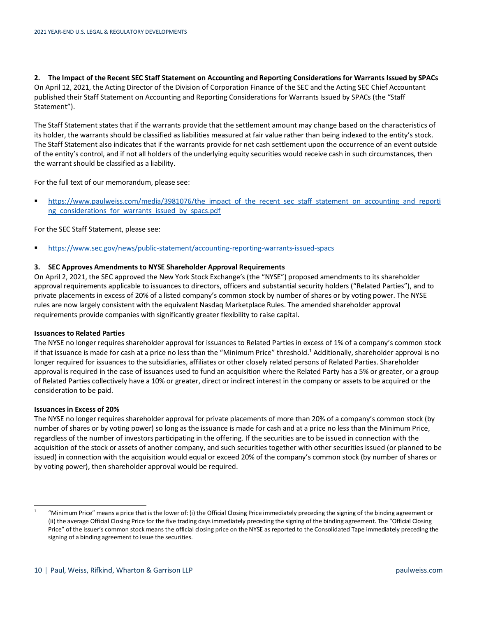<span id="page-9-0"></span>**2. The Impact of the Recent SEC Staff Statement on Accounting and Reporting Considerations for Warrants Issued by SPACs** On April 12, 2021, the Acting Director of the Division of Corporation Finance of the SEC and the Acting SEC Chief Accountant published their Staff Statement on Accounting and Reporting Considerations for Warrants Issued by SPACs (the "Staff Statement").

The Staff Statement states that if the warrants provide that the settlement amount may change based on the characteristics of its holder, the warrants should be classified as liabilities measured at fair value rather than being indexed to the entity's stock. The Staff Statement also indicates that if the warrants provide for net cash settlement upon the occurrence of an event outside of the entity's control, and if not all holders of the underlying equity securities would receive cash in such circumstances, then the warrant should be classified as a liability.

For the full text of our memorandum, please see:

[https://www.paulweiss.com/media/3981076/the\\_impact\\_of\\_the\\_recent\\_sec\\_staff\\_statement\\_on\\_accounting\\_and\\_reporti](https://www.paulweiss.com/media/3981076/the_impact_of_the_recent_sec_staff_statement_on_accounting_and_reporting_considerations_for_warrants_issued_by_spacs.pdf) [ng\\_considerations\\_for\\_warrants\\_issued\\_by\\_spacs.pdf](https://www.paulweiss.com/media/3981076/the_impact_of_the_recent_sec_staff_statement_on_accounting_and_reporting_considerations_for_warrants_issued_by_spacs.pdf)

For the SEC Staff Statement, please see:

<https://www.sec.gov/news/public-statement/accounting-reporting-warrants-issued-spacs>

## <span id="page-9-1"></span>**3. SEC Approves Amendments to NYSE Shareholder Approval Requirements**

On April 2, 2021, the SEC approved the New York Stock Exchange's (the "NYSE") proposed amendments to its shareholder approval requirements applicable to issuances to directors, officers and substantial security holders ("Related Parties"), and to private placements in excess of 20% of a listed company's common stock by number of shares or by voting power. The NYSE rules are now largely consistent with the equivalent Nasdaq Marketplace Rules. The amended shareholder approval requirements provide companies with significantly greater flexibility to raise capital.

## **Issuances to Related Parties**

The NYSE no longer requires shareholder approval for issuances to Related Parties in excess of 1% of a company's common stock if that issuance is made for cash at a price no less than the "Minimum Price" threshold[.1](#page-9-2) Additionally, shareholder approval is no longer required for issuances to the subsidiaries, affiliates or other closely related persons of Related Parties. Shareholder approval is required in the case of issuances used to fund an acquisition where the Related Party has a 5% or greater, or a group of Related Parties collectively have a 10% or greater, direct or indirect interest in the company or assets to be acquired or the consideration to be paid.

## **Issuances in Excess of 20%**

The NYSE no longer requires shareholder approval for private placements of more than 20% of a company's common stock (by number of shares or by voting power) so long as the issuance is made for cash and at a price no less than the Minimum Price, regardless of the number of investors participating in the offering. If the securities are to be issued in connection with the acquisition of the stock or assets of another company, and such securities together with other securities issued (or planned to be issued) in connection with the acquisition would equal or exceed 20% of the company's common stock (by number of shares or by voting power), then shareholder approval would be required.

<span id="page-9-2"></span><sup>&</sup>lt;sup>1</sup> "Minimum Price" means a price that is the lower of: (i) the Official Closing Price immediately preceding the signing of the binding agreement or (ii) the average Official Closing Price for the five trading days immediately preceding the signing of the binding agreement. The "Official Closing Price" of the issuer's common stock means the official closing price on the NYSE as reported to the Consolidated Tape immediately preceding the signing of a binding agreement to issue the securities.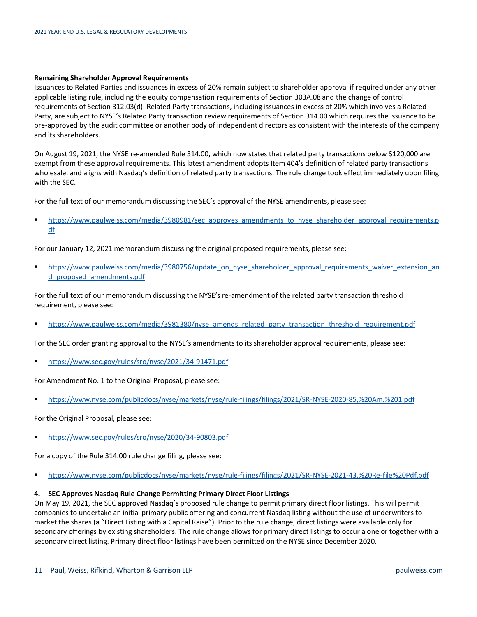#### **Remaining Shareholder Approval Requirements**

Issuances to Related Parties and issuances in excess of 20% remain subject to shareholder approval if required under any other applicable listing rule, including the equity compensation requirements of Section 303A.08 and the change of control requirements of Section 312.03(d). Related Party transactions, including issuances in excess of 20% which involves a Related Party, are subject to NYSE's Related Party transaction review requirements of Section 314.00 which requires the issuance to be pre-approved by the audit committee or another body of independent directors as consistent with the interests of the company and its shareholders.

On August 19, 2021, the NYSE re-amended Rule 314.00, which now states that related party transactions below \$120,000 are exempt from these approval requirements. This latest amendment adopts Item 404's definition of related party transactions wholesale, and aligns with Nasdaq's definition of related party transactions. The rule change took effect immediately upon filing with the SEC.

For the full text of our memorandum discussing the SEC's approval of the NYSE amendments, please see:

[https://www.paulweiss.com/media/3980981/sec\\_approves\\_amendments\\_to\\_nyse\\_shareholder\\_approval\\_requirements.p](https://www.paulweiss.com/media/3980981/sec_approves_amendments_to_nyse_shareholder_approval_requirements.pdf) [df](https://www.paulweiss.com/media/3980981/sec_approves_amendments_to_nyse_shareholder_approval_requirements.pdf)

For our January 12, 2021 memorandum discussing the original proposed requirements, please see:

**[https://www.paulweiss.com/media/3980756/update\\_on\\_nyse\\_shareholder\\_approval\\_requirements\\_waiver\\_extension\\_an](https://www.paulweiss.com/media/3980756/update_on_nyse_shareholder_approval_requirements_waiver_extension_and_proposed_amendments.pdf)** [d\\_proposed\\_amendments.pdf](https://www.paulweiss.com/media/3980756/update_on_nyse_shareholder_approval_requirements_waiver_extension_and_proposed_amendments.pdf)

For the full text of our memorandum discussing the NYSE's re-amendment of the related party transaction threshold requirement, please see:

[https://www.paulweiss.com/media/3981380/nyse\\_amends\\_related\\_party\\_transaction\\_threshold\\_requirement.pdf](https://www.paulweiss.com/media/3981380/nyse_amends_related_party_transaction_threshold_requirement.pdf)

For the SEC order granting approval to the NYSE's amendments to its shareholder approval requirements, please see:

<https://www.sec.gov/rules/sro/nyse/2021/34-91471.pdf>

For Amendment No. 1 to the Original Proposal, please see:

<https://www.nyse.com/publicdocs/nyse/markets/nyse/rule-filings/filings/2021/SR-NYSE-2020-85,%20Am.%201.pdf>

For the Original Proposal, please see:

<https://www.sec.gov/rules/sro/nyse/2020/34-90803.pdf>

For a copy of the Rule 314.00 rule change filing, please see:

<https://www.nyse.com/publicdocs/nyse/markets/nyse/rule-filings/filings/2021/SR-NYSE-2021-43,%20Re-file%20Pdf.pdf>

## <span id="page-10-0"></span>**4. SEC Approves Nasdaq Rule Change Permitting Primary Direct Floor Listings**

On May 19, 2021, the SEC approved Nasdaq's proposed rule change to permit primary direct floor listings. This will permit companies to undertake an initial primary public offering and concurrent Nasdaq listing without the use of underwriters to market the shares (a "Direct Listing with a Capital Raise"). Prior to the rule change, direct listings were available only for secondary offerings by existing shareholders. The rule change allows for primary direct listings to occur alone or together with a secondary direct listing. Primary direct floor listings have been permitted on the NYSE since December 2020.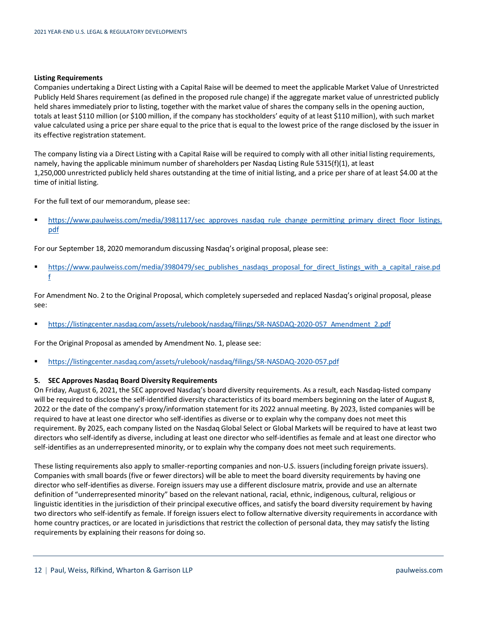## **Listing Requirements**

Companies undertaking a Direct Listing with a Capital Raise will be deemed to meet the applicable Market Value of Unrestricted Publicly Held Shares requirement (as defined in the proposed rule change) if the aggregate market value of unrestricted publicly held shares immediately prior to listing, together with the market value of shares the company sells in the opening auction, totals at least \$110 million (or \$100 million, if the company has stockholders' equity of at least \$110 million), with such market value calculated using a price per share equal to the price that is equal to the lowest price of the range disclosed by the issuer in its effective registration statement.

The company listing via a Direct Listing with a Capital Raise will be required to comply with all other initial listing requirements, namely, having the applicable minimum number of shareholders per Nasdaq Listing Rule 5315(f)(1), at least 1,250,000 unrestricted publicly held shares outstanding at the time of initial listing, and a price per share of at least \$4.00 at the time of initial listing.

For the full text of our memorandum, please see:

[https://www.paulweiss.com/media/3981117/sec\\_approves\\_nasdaq\\_rule\\_change\\_permitting\\_primary\\_direct\\_floor\\_listings.](https://www.paulweiss.com/media/3981117/sec_approves_nasdaq_rule_change_permitting_primary_direct_floor_listings.pdf) [pdf](https://www.paulweiss.com/media/3981117/sec_approves_nasdaq_rule_change_permitting_primary_direct_floor_listings.pdf)

For our September 18, 2020 memorandum discussing Nasdaq's original proposal, please see:

[https://www.paulweiss.com/media/3980479/sec\\_publishes\\_nasdaqs\\_proposal\\_for\\_direct\\_listings\\_with\\_a\\_capital\\_raise.pd](https://www.paulweiss.com/media/3980479/sec_publishes_nasdaqs_proposal_for_direct_listings_with_a_capital_raise.pdf) [f](https://www.paulweiss.com/media/3980479/sec_publishes_nasdaqs_proposal_for_direct_listings_with_a_capital_raise.pdf)

For Amendment No. 2 to the Original Proposal, which completely superseded and replaced Nasdaq's original proposal, please see:

[https://listingcenter.nasdaq.com/assets/rulebook/nasdaq/filings/SR-NASDAQ-2020-057\\_Amendment\\_2.pdf](https://listingcenter.nasdaq.com/assets/rulebook/nasdaq/filings/SR-NASDAQ-2020-057_Amendment_2.pdf)

For the Original Proposal as amended by Amendment No. 1, please see:

<https://listingcenter.nasdaq.com/assets/rulebook/nasdaq/filings/SR-NASDAQ-2020-057.pdf>

## <span id="page-11-0"></span>**5. SEC Approves Nasdaq Board Diversity Requirements**

On Friday, August 6, 2021, the SEC approved Nasdaq's board diversity requirements. As a result, each Nasdaq-listed company will be required to disclose the self-identified diversity characteristics of its board members beginning on the later of August 8, 2022 or the date of the company's proxy/information statement for its 2022 annual meeting. By 2023, listed companies will be required to have at least one director who self-identifies as diverse or to explain why the company does not meet this requirement. By 2025, each company listed on the Nasdaq Global Select or Global Markets will be required to have at least two directors who self-identify as diverse, including at least one director who self-identifies as female and at least one director who self-identifies as an underrepresented minority, or to explain why the company does not meet such requirements.

These listing requirements also apply to smaller-reporting companies and non-U.S. issuers (including foreign private issuers). Companies with small boards (five or fewer directors) will be able to meet the board diversity requirements by having one director who self-identifies as diverse. Foreign issuers may use a different disclosure matrix, provide and use an alternate definition of "underrepresented minority" based on the relevant national, racial, ethnic, indigenous, cultural, religious or linguistic identities in the jurisdiction of their principal executive offices, and satisfy the board diversity requirement by having two directors who self-identify as female. If foreign issuers elect to follow alternative diversity requirements in accordance with home country practices, or are located in jurisdictions that restrict the collection of personal data, they may satisfy the listing requirements by explaining their reasons for doing so.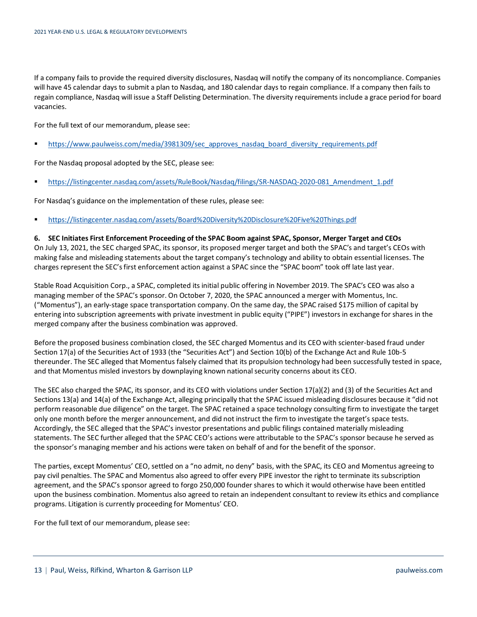If a company fails to provide the required diversity disclosures, Nasdaq will notify the company of its noncompliance. Companies will have 45 calendar days to submit a plan to Nasdaq, and 180 calendar days to regain compliance. If a company then fails to regain compliance, Nasdaq will issue a Staff Delisting Determination. The diversity requirements include a grace period for board vacancies.

For the full text of our memorandum, please see:

[https://www.paulweiss.com/media/3981309/sec\\_approves\\_nasdaq\\_board\\_diversity\\_requirements.pdf](https://www.paulweiss.com/media/3981309/sec_approves_nasdaq_board_diversity_requirements.pdf)

For the Nasdaq proposal adopted by the SEC, please see:

[https://listingcenter.nasdaq.com/assets/RuleBook/Nasdaq/filings/SR-NASDAQ-2020-081\\_Amendment\\_1.pdf](https://listingcenter.nasdaq.com/assets/RuleBook/Nasdaq/filings/SR-NASDAQ-2020-081_Amendment_1.pdf)

For Nasdaq's guidance on the implementation of these rules, please see:

<https://listingcenter.nasdaq.com/assets/Board%20Diversity%20Disclosure%20Five%20Things.pdf>

## <span id="page-12-0"></span>**6. SEC Initiates First Enforcement Proceeding of the SPAC Boom against SPAC, Sponsor, Merger Target and CEOs** On July 13, 2021, the SEC charged SPAC, its sponsor, its proposed merger target and both the SPAC's and target's CEOs with making false and misleading statements about the target company's technology and ability to obtain essential licenses. The charges represent the SEC's first enforcement action against a SPAC since the "SPAC boom" took off late last year.

Stable Road Acquisition Corp., a SPAC, completed its initial public offering in November 2019. The SPAC's CEO was also a managing member of the SPAC's sponsor. On October 7, 2020, the SPAC announced a merger with Momentus, Inc. ("Momentus"), an early-stage space transportation company. On the same day, the SPAC raised \$175 million of capital by entering into subscription agreements with private investment in public equity ("PIPE") investors in exchange for shares in the merged company after the business combination was approved.

Before the proposed business combination closed, the SEC charged Momentus and its CEO with scienter-based fraud under Section 17(a) of the Securities Act of 1933 (the "Securities Act") and Section 10(b) of the Exchange Act and Rule 10b-5 thereunder. The SEC alleged that Momentus falsely claimed that its propulsion technology had been successfully tested in space, and that Momentus misled investors by downplaying known national security concerns about its CEO.

The SEC also charged the SPAC, its sponsor, and its CEO with violations under Section 17(a)(2) and (3) of the Securities Act and Sections 13(a) and 14(a) of the Exchange Act, alleging principally that the SPAC issued misleading disclosures because it "did not perform reasonable due diligence" on the target. The SPAC retained a space technology consulting firm to investigate the target only one month before the merger announcement, and did not instruct the firm to investigate the target's space tests. Accordingly, the SEC alleged that the SPAC's investor presentations and public filings contained materially misleading statements. The SEC further alleged that the SPAC CEO's actions were attributable to the SPAC's sponsor because he served as the sponsor's managing member and his actions were taken on behalf of and for the benefit of the sponsor.

The parties, except Momentus' CEO, settled on a "no admit, no deny" basis, with the SPAC, its CEO and Momentus agreeing to pay civil penalties. The SPAC and Momentus also agreed to offer every PIPE investor the right to terminate its subscription agreement, and the SPAC's sponsor agreed to forgo 250,000 founder shares to which it would otherwise have been entitled upon the business combination. Momentus also agreed to retain an independent consultant to review its ethics and compliance programs. Litigation is currently proceeding for Momentus' CEO.

For the full text of our memorandum, please see: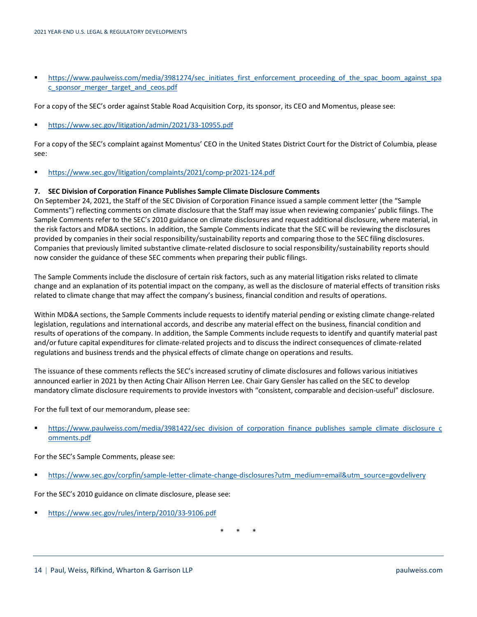■ [https://www.paulweiss.com/media/3981274/sec\\_initiates\\_first\\_enforcement\\_proceeding\\_of\\_the\\_spac\\_boom\\_against\\_spa](https://www.paulweiss.com/media/3981274/sec_initiates_first_enforcement_proceeding_of_the_spac_boom_against_spac_sponsor_merger_target_and_ceos.pdf) [c\\_sponsor\\_merger\\_target\\_and\\_ceos.pdf](https://www.paulweiss.com/media/3981274/sec_initiates_first_enforcement_proceeding_of_the_spac_boom_against_spac_sponsor_merger_target_and_ceos.pdf)

For a copy of the SEC's order against Stable Road Acquisition Corp, its sponsor, its CEO and Momentus, please see:

<https://www.sec.gov/litigation/admin/2021/33-10955.pdf>

For a copy of the SEC's complaint against Momentus' CEO in the United States District Court for the District of Columbia, please see:

<https://www.sec.gov/litigation/complaints/2021/comp-pr2021-124.pdf>

## <span id="page-13-0"></span>**7. SEC Division of Corporation Finance Publishes Sample Climate Disclosure Comments**

On September 24, 2021, the Staff of the SEC Division of Corporation Finance issued a sample comment letter (the "Sample Comments") reflecting comments on climate disclosure that the Staff may issue when reviewing companies' public filings. The Sample Comments refer to the SEC's 2010 guidance on climate disclosures and request additional disclosure, where material, in the risk factors and MD&A sections. In addition, the Sample Comments indicate that the SEC will be reviewing the disclosures provided by companies in their social responsibility/sustainability reports and comparing those to the SEC filing disclosures. Companies that previously limited substantive climate-related disclosure to social responsibility/sustainability reports should now consider the guidance of these SEC comments when preparing their public filings.

The Sample Comments include the disclosure of certain risk factors, such as any material litigation risks related to climate change and an explanation of its potential impact on the company, as well as the disclosure of material effects of transition risks related to climate change that may affect the company's business, financial condition and results of operations.

Within MD&A sections, the Sample Comments include requests to identify material pending or existing climate change-related legislation, regulations and international accords, and describe any material effect on the business, financial condition and results of operations of the company. In addition, the Sample Comments include requests to identify and quantify material past and/or future capital expenditures for climate-related projects and to discuss the indirect consequences of climate-related regulations and business trends and the physical effects of climate change on operations and results.

The issuance of these comments reflects the SEC's increased scrutiny of climate disclosures and follows various initiatives announced earlier in 2021 by then Acting Chair Allison Herren Lee. Chair Gary Gensler has called on the SEC to develop mandatory climate disclosure requirements to provide investors with "consistent, comparable and decision-useful" disclosure.

For the full text of our memorandum, please see:

[https://www.paulweiss.com/media/3981422/sec\\_division\\_of\\_corporation\\_finance\\_publishes\\_sample\\_climate\\_disclosure\\_c](https://www.paulweiss.com/media/3981422/sec_division_of_corporation_finance_publishes_sample_climate_disclosure_comments.pdf) [omments.pdf](https://www.paulweiss.com/media/3981422/sec_division_of_corporation_finance_publishes_sample_climate_disclosure_comments.pdf)

For the SEC's Sample Comments, please see:

[https://www.sec.gov/corpfin/sample-letter-climate-change-disclosures?utm\\_medium=email&utm\\_source=govdelivery](https://www.sec.gov/corpfin/sample-letter-climate-change-disclosures?utm_medium=email&utm_source=govdelivery)

For the SEC's 2010 guidance on climate disclosure, please see:

<https://www.sec.gov/rules/interp/2010/33-9106.pdf>

\* \* \*